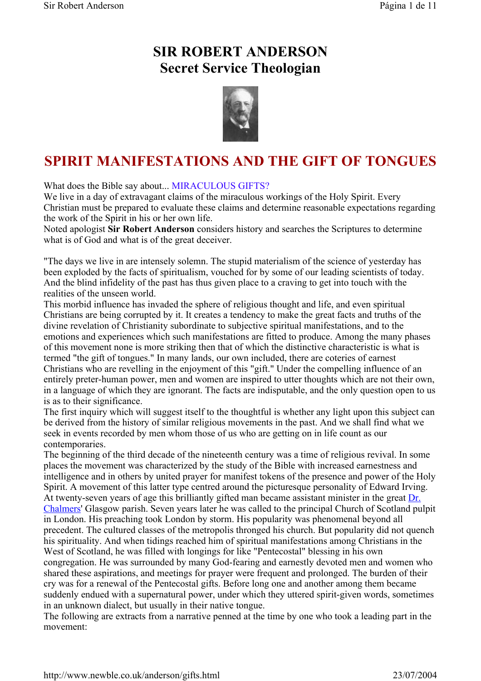## **SIR ROBERT ANDERSON Secret Service Theologian**



# **SPIRIT MANIFESTATIONS AND THE GIFT OF TONGUES**

What does the Bible say about... MIRACULOUS GIFTS?

We live in a day of extravagant claims of the miraculous workings of the Holy Spirit. Every Christian must be prepared to evaluate these claims and determine reasonable expectations regarding the work of the Spirit in his or her own life.

Noted apologist **Sir Robert Anderson** considers history and searches the Scriptures to determine what is of God and what is of the great deceiver.

"The days we live in are intensely solemn. The stupid materialism of the science of yesterday has been exploded by the facts of spiritualism, vouched for by some of our leading scientists of today. And the blind infidelity of the past has thus given place to a craving to get into touch with the realities of the unseen world.

This morbid influence has invaded the sphere of religious thought and life, and even spiritual Christians are being corrupted by it. It creates a tendency to make the great facts and truths of the divine revelation of Christianity subordinate to subjective spiritual manifestations, and to the emotions and experiences which such manifestations are fitted to produce. Among the many phases of this movement none is more striking then that of which the distinctive characteristic is what is termed "the gift of tongues." In many lands, our own included, there are coteries of earnest Christians who are revelling in the enjoyment of this "gift." Under the compelling influence of an entirely preter-human power, men and women are inspired to utter thoughts which are not their own, in a language of which they are ignorant. The facts are indisputable, and the only question open to us is as to their significance.

The first inquiry which will suggest itself to the thoughtful is whether any light upon this subject can be derived from the history of similar religious movements in the past. And we shall find what we seek in events recorded by men whom those of us who are getting on in life count as our contemporaries.

The beginning of the third decade of the nineteenth century was a time of religious revival. In some places the movement was characterized by the study of the Bible with increased earnestness and intelligence and in others by united prayer for manifest tokens of the presence and power of the Holy Spirit. A movement of this latter type centred around the picturesque personality of Edward Irving. At twenty-seven years of age this brilliantly gifted man became assistant minister in the great Dr. Chalmers' Glasgow parish. Seven years later he was called to the principal Church of Scotland pulpit in London. His preaching took London by storm. His popularity was phenomenal beyond all precedent. The cultured classes of the metropolis thronged his church. But popularity did not quench his spirituality. And when tidings reached him of spiritual manifestations among Christians in the West of Scotland, he was filled with longings for like "Pentecostal" blessing in his own congregation. He was surrounded by many God-fearing and earnestly devoted men and women who shared these aspirations, and meetings for prayer were frequent and prolonged. The burden of their cry was for a renewal of the Pentecostal gifts. Before long one and another among them became suddenly endued with a supernatural power, under which they uttered spirit-given words, sometimes in an unknown dialect, but usually in their native tongue.

The following are extracts from a narrative penned at the time by one who took a leading part in the movement: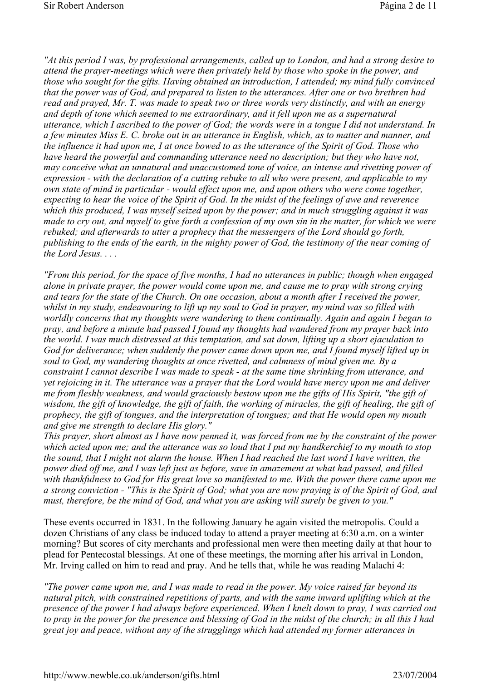*"At this period I was, by professional arrangements, called up to London, and had a strong desire to attend the prayer-meetings which were then privately held by those who spoke in the power, and those who sought for the gifts. Having obtained an introduction, I attended; my mind fully convinced that the power was of God, and prepared to listen to the utterances. After one or two brethren had read and prayed, Mr. T. was made to speak two or three words very distinctly, and with an energy and depth of tone which seemed to me extraordinary, and it fell upon me as a supernatural utterance, which I ascribed to the power of God; the words were in a tongue I did not understand. In a few minutes Miss E. C. broke out in an utterance in English, which, as to matter and manner, and the influence it had upon me, I at once bowed to as the utterance of the Spirit of God. Those who have heard the powerful and commanding utterance need no description; but they who have not, may conceive what an unnatural and unaccustomed tone of voice, an intense and rivetting power of expression - with the declaration of a cutting rebuke to all who were present, and applicable to my own state of mind in particular - would effect upon me, and upon others who were come together, expecting to hear the voice of the Spirit of God. In the midst of the feelings of awe and reverence which this produced, I was myself seized upon by the power; and in much struggling against it was made to cry out, and myself to give forth a confession of my own sin in the matter, for which we were rebuked; and afterwards to utter a prophecy that the messengers of the Lord should go forth, publishing to the ends of the earth, in the mighty power of God, the testimony of the near coming of the Lord Jesus. . . .*

*"From this period, for the space of five months, I had no utterances in public; though when engaged alone in private prayer, the power would come upon me, and cause me to pray with strong crying and tears for the state of the Church. On one occasion, about a month after I received the power, whilst in my study, endeavouring to lift up my soul to God in prayer, my mind was so filled with worldly concerns that my thoughts were wandering to them continually. Again and again I began to pray, and before a minute had passed I found my thoughts had wandered from my prayer back into the world. I was much distressed at this temptation, and sat down, lifting up a short ejaculation to God for deliverance; when suddenly the power came down upon me, and I found myself lifted up in soul to God, my wandering thoughts at once rivetted, and calmness of mind given me. By a constraint I cannot describe I was made to speak - at the same time shrinking from utterance, and yet rejoicing in it. The utterance was a prayer that the Lord would have mercy upon me and deliver me from fleshly weakness, and would graciously bestow upon me the gifts of His Spirit, "the gift of*  wisdom, the gift of knowledge, the gift of faith, the working of miracles, the gift of healing, the gift of *prophecy, the gift of tongues, and the interpretation of tongues; and that He would open my mouth and give me strength to declare His glory."* 

*This prayer, short almost as I have now penned it, was forced from me by the constraint of the power which acted upon me; and the utterance was so loud that I put my handkerchief to my mouth to stop the sound, that I might not alarm the house. When I had reached the last word I have written, the power died off me, and I was left just as before, save in amazement at what had passed, and filled with thankfulness to God for His great love so manifested to me. With the power there came upon me a strong conviction - "This is the Spirit of God; what you are now praying is of the Spirit of God, and must, therefore, be the mind of God, and what you are asking will surely be given to you."* 

These events occurred in 1831. In the following January he again visited the metropolis. Could a dozen Christians of any class be induced today to attend a prayer meeting at 6:30 a.m. on a winter morning? But scores of city merchants and professional men were then meeting daily at that hour to plead for Pentecostal blessings. At one of these meetings, the morning after his arrival in London, Mr. Irving called on him to read and pray. And he tells that, while he was reading Malachi 4:

*"The power came upon me, and I was made to read in the power. My voice raised far beyond its natural pitch, with constrained repetitions of parts, and with the same inward uplifting which at the presence of the power I had always before experienced. When I knelt down to pray, I was carried out to pray in the power for the presence and blessing of God in the midst of the church; in all this I had great joy and peace, without any of the strugglings which had attended my former utterances in*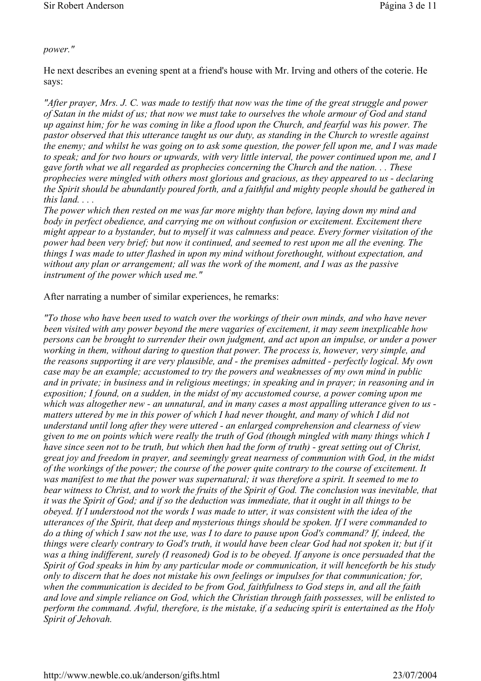#### *power."*

He next describes an evening spent at a friend's house with Mr. Irving and others of the coterie. He says:

*"After prayer, Mrs. J. C. was made to testify that now was the time of the great struggle and power of Satan in the midst of us; that now we must take to ourselves the whole armour of God and stand up against him; for he was coming in like a flood upon the Church, and fearful was his power. The pastor observed that this utterance taught us our duty, as standing in the Church to wrestle against the enemy; and whilst he was going on to ask some question, the power fell upon me, and I was made to speak; and for two hours or upwards, with very little interval, the power continued upon me, and I gave forth what we all regarded as prophecies concerning the Church and the nation. . . These prophecies were mingled with others most glorious and gracious, as they appeared to us - declaring the Spirit should be abundantly poured forth, and a faithful and mighty people should be gathered in this land. . . .* 

*The power which then rested on me was far more mighty than before, laying down my mind and body in perfect obedience, and carrying me on without confusion or excitement. Excitement there might appear to a bystander, but to myself it was calmness and peace. Every former visitation of the power had been very brief; but now it continued, and seemed to rest upon me all the evening. The things I was made to utter flashed in upon my mind without forethought, without expectation, and without any plan or arrangement; all was the work of the moment, and I was as the passive instrument of the power which used me."*

### After narrating a number of similar experiences, he remarks:

*"To those who have been used to watch over the workings of their own minds, and who have never been visited with any power beyond the mere vagaries of excitement, it may seem inexplicable how persons can be brought to surrender their own judgment, and act upon an impulse, or under a power working in them, without daring to question that power. The process is, however, very simple, and the reasons supporting it are very plausible, and - the premises admitted - perfectly logical. My own case may be an example; accustomed to try the powers and weaknesses of my own mind in public and in private; in business and in religious meetings; in speaking and in prayer; in reasoning and in exposition; I found, on a sudden, in the midst of my accustomed course, a power coming upon me which was altogether new - an unnatural, and in many cases a most appalling utterance given to us matters uttered by me in this power of which I had never thought, and many of which I did not understand until long after they were uttered - an enlarged comprehension and clearness of view given to me on points which were really the truth of God (though mingled with many things which I have since seen not to be truth, but which then had the form of truth) - great setting out of Christ, great joy and freedom in prayer, and seemingly great nearness of communion with God, in the midst of the workings of the power; the course of the power quite contrary to the course of excitement. It was manifest to me that the power was supernatural; it was therefore a spirit. It seemed to me to bear witness to Christ, and to work the fruits of the Spirit of God. The conclusion was inevitable, that it was the Spirit of God; and if so the deduction was immediate, that it ought in all things to be obeyed. If I understood not the words I was made to utter, it was consistent with the idea of the utterances of the Spirit, that deep and mysterious things should be spoken. If I were commanded to do a thing of which I saw not the use, was I to dare to pause upon God's command? If, indeed, the things were clearly contrary to God's truth, it would have been clear God had not spoken it; but if it was a thing indifferent, surely (I reasoned) God is to be obeyed. If anyone is once persuaded that the Spirit of God speaks in him by any particular mode or communication, it will henceforth be his study only to discern that he does not mistake his own feelings or impulses for that communication; for, when the communication is decided to be from God, faithfulness to God steps in, and all the faith and love and simple reliance on God, which the Christian through faith possesses, will be enlisted to perform the command. Awful, therefore, is the mistake, if a seducing spirit is entertained as the Holy Spirit of Jehovah.*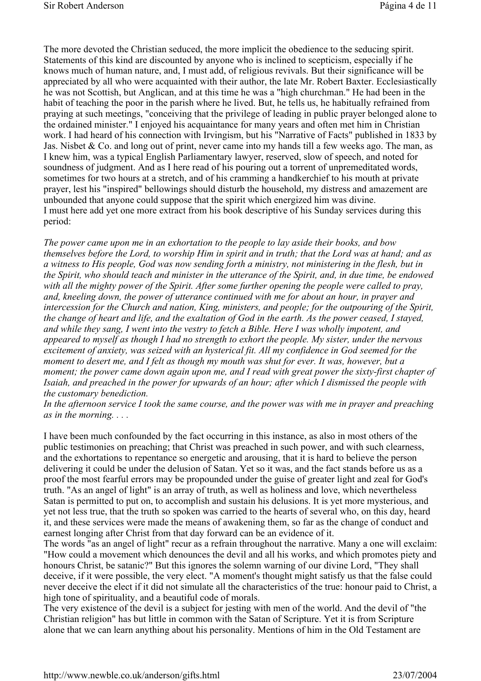The more devoted the Christian seduced, the more implicit the obedience to the seducing spirit. Statements of this kind are discounted by anyone who is inclined to scepticism, especially if he knows much of human nature, and, I must add, of religious revivals. But their significance will be appreciated by all who were acquainted with their author, the late Mr. Robert Baxter. Ecclesiastically he was not Scottish, but Anglican, and at this time he was a "high churchman." He had been in the habit of teaching the poor in the parish where he lived. But, he tells us, he habitually refrained from praying at such meetings, "conceiving that the privilege of leading in public prayer belonged alone to the ordained minister." I enjoyed his acquaintance for many years and often met him in Christian work. I had heard of his connection with Irvingism, but his "Narrative of Facts" published in 1833 by Jas. Nisbet & Co. and long out of print, never came into my hands till a few weeks ago. The man, as I knew him, was a typical English Parliamentary lawyer, reserved, slow of speech, and noted for soundness of judgment. And as I here read of his pouring out a torrent of unpremeditated words, sometimes for two hours at a stretch, and of his cramming a handkerchief to his mouth at private prayer, lest his "inspired" bellowings should disturb the household, my distress and amazement are unbounded that anyone could suppose that the spirit which energized him was divine. I must here add yet one more extract from his book descriptive of his Sunday services during this period:

*The power came upon me in an exhortation to the people to lay aside their books, and bow themselves before the Lord, to worship Him in spirit and in truth; that the Lord was at hand; and as a witness to His people, God was now sending forth a ministry, not ministering in the flesh, but in the Spirit, who should teach and minister in the utterance of the Spirit, and, in due time, be endowed with all the mighty power of the Spirit. After some further opening the people were called to pray, and, kneeling down, the power of utterance continued with me for about an hour, in prayer and intercession for the Church and nation, King, ministers, and people; for the outpouring of the Spirit, the change of heart and life, and the exaltation of God in the earth. As the power ceased, I stayed, and while they sang, I went into the vestry to fetch a Bible. Here I was wholly impotent, and appeared to myself as though I had no strength to exhort the people. My sister, under the nervous excitement of anxiety, was seized with an hysterical fit. All my confidence in God seemed for the moment to desert me, and I felt as though my mouth was shut for ever. It was, however, but a moment; the power came down again upon me, and I read with great power the sixty-first chapter of Isaiah, and preached in the power for upwards of an hour; after which I dismissed the people with the customary benediction.* 

*In the afternoon service I took the same course, and the power was with me in prayer and preaching as in the morning. . . .*

I have been much confounded by the fact occurring in this instance, as also in most others of the public testimonies on preaching; that Christ was preached in such power, and with such clearness, and the exhortations to repentance so energetic and arousing, that it is hard to believe the person delivering it could be under the delusion of Satan. Yet so it was, and the fact stands before us as a proof the most fearful errors may be propounded under the guise of greater light and zeal for God's truth. "As an angel of light" is an array of truth, as well as holiness and love, which nevertheless Satan is permitted to put on, to accomplish and sustain his delusions. It is yet more mysterious, and yet not less true, that the truth so spoken was carried to the hearts of several who, on this day, heard it, and these services were made the means of awakening them, so far as the change of conduct and earnest longing after Christ from that day forward can be an evidence of it.

The words "as an angel of light" recur as a refrain throughout the narrative. Many a one will exclaim: "How could a movement which denounces the devil and all his works, and which promotes piety and honours Christ, be satanic?" But this ignores the solemn warning of our divine Lord, "They shall deceive, if it were possible, the very elect. "A moment's thought might satisfy us that the false could never deceive the elect if it did not simulate all the characteristics of the true: honour paid to Christ, a high tone of spirituality, and a beautiful code of morals.

The very existence of the devil is a subject for jesting with men of the world. And the devil of "the Christian religion" has but little in common with the Satan of Scripture. Yet it is from Scripture alone that we can learn anything about his personality. Mentions of him in the Old Testament are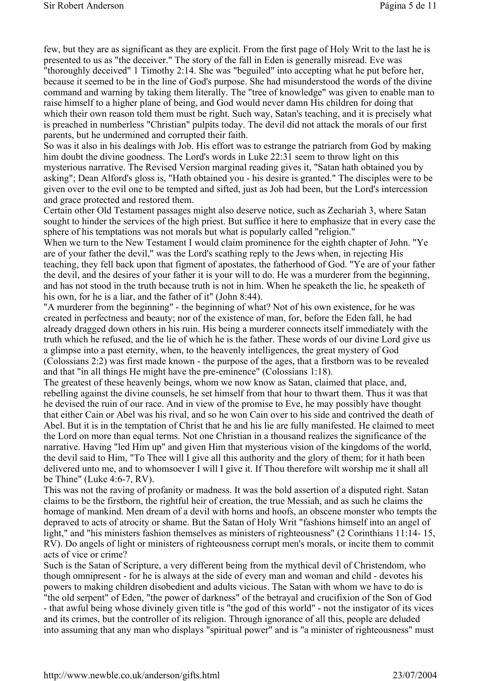few, but they are as significant as they are explicit. From the first page of Holy Writ to the last he is presented to us as "the deceiver." The story of the fall in Eden is generally misread. Eve was "thoroughly deceived" 1 Timothy 2:14. She was "beguiled" into accepting what he put before her, because it seemed to be in the line of God's purpose. She had misunderstood the words of the divine command and warning by taking them literally. The "tree of knowledge" was given to enable man to raise himself to a higher plane of being, and God would never damn His children for doing that which their own reason told them must be right. Such way, Satan's teaching, and it is precisely what is preached in numberless "Christian" pulpits today. The devil did not attack the morals of our first parents, but he undermined and corrupted their faith.

So was it also in his dealings with Job. His effort was to estrange the patriarch from God by making him doubt the divine goodness. The Lord's words in Luke 22:31 seem to throw light on this mysterious narrative. The Revised Version marginal reading gives it, "Satan hath obtained you by asking"; Dean Alford's gloss is, "Hath obtained you - his desire is granted." The disciples were to be given over to the evil one to be tempted and sifted, just as Job had been, but the Lord's intercession and grace protected and restored them.

Certain other Old Testament passages might also deserve notice, such as Zechariah 3, where Satan sought to hinder the services of the high priest. But suffice it here to emphasize that in every case the sphere of his temptations was not morals but what is popularly called "religion."

When we turn to the New Testament I would claim prominence for the eighth chapter of John. "Ye are of your father the devil," was the Lord's scathing reply to the Jews when, in rejecting His teaching, they fell back upon that figment of apostates, the fatherhood of God. "Ye are of your father the devil, and the desires of your father it is your will to do. He was a murderer from the beginning, and has not stood in the truth because truth is not in him. When he speaketh the lie, he speaketh of his own, for he is a liar, and the father of it" (John 8:44).

"A murderer from the beginning" - the beginning of what? Not of his own existence, for he was created in perfectness and beauty; nor of the existence of man, for, before the Eden fall, he had already dragged down others in his ruin. His being a murderer connects itself immediately with the truth which he refused, and the lie of which he is the father. These words of our divine Lord give us a glimpse into a past eternity, when, to the heavenly intelligences, the great mystery of God (Colossians 2:2) was first made known - the purpose of the ages, that a firstborn was to be revealed and that "in all things He might have the pre-eminence" (Colossians 1:18).

The greatest of these heavenly beings, whom we now know as Satan, claimed that place, and, rebelling against the divine counsels, he set himself from that hour to thwart them. Thus it was that he devised the ruin of our race. And in view of the promise to Eve, he may possibly have thought that either Cain or Abel was his rival, and so he won Cain over to his side and contrived the death of Abel. But it is in the temptation of Christ that he and his lie are fully manifested. He claimed to meet the Lord on more than equal terms. Not one Christian in a thousand realizes the significance of the narrative. Having "led Him up" and given Him that mysterious vision of the kingdoms of the world, the devil said to Him, "To Thee will I give all this authority and the glory of them; for it hath been delivered unto me, and to whomsoever I will I give it. If Thou therefore wilt worship me it shall all be Thine" (Luke 4:6-7, RV).

This was not the raving of profanity or madness. It was the bold assertion of a disputed right. Satan claims to be the firstborn, the rightful heir of creation, the true Messiah, and as such he claims the homage of mankind. Men dream of a devil with horns and hoofs, an obscene monster who tempts the depraved to acts of atrocity or shame. But the Satan of Holy Writ "fashions himself into an angel of light," and "his ministers fashion themselves as ministers of righteousness" (2 Corinthians 11:14-15, RV). Do angels of light or ministers of righteousness corrupt men's morals, or incite them to commit acts of vice or crime?

Such is the Satan of Scripture, a very different being from the mythical devil of Christendom, who though omnipresent - for he is always at the side of every man and woman and child - devotes his powers to making children disobedient and adults vicious. The Satan with whom we have to do is "the old serpent" of Eden, "the power of darkness" of the betrayal and crucifixion of the Son of God - that awful being whose divinely given title is "the god of this world" - not the instigator of its vices and its crimes, but the controller of its religion. Through ignorance of all this, people are deluded into assuming that any man who displays "spiritual power" and is "a minister of righteousness" must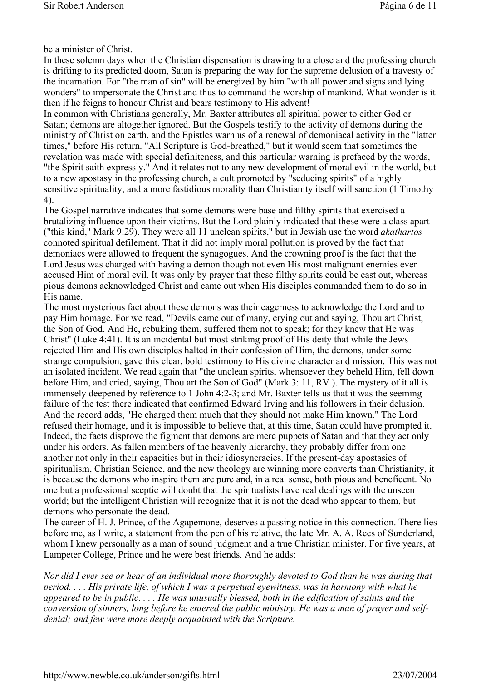be a minister of Christ.

In these solemn days when the Christian dispensation is drawing to a close and the professing church is drifting to its predicted doom, Satan is preparing the way for the supreme delusion of a travesty of the incarnation. For "the man of sin" will be energized by him "with all power and signs and lying wonders" to impersonate the Christ and thus to command the worship of mankind. What wonder is it then if he feigns to honour Christ and bears testimony to His advent!

In common with Christians generally, Mr. Baxter attributes all spiritual power to either God or Satan; demons are altogether ignored. But the Gospels testify to the activity of demons during the ministry of Christ on earth, and the Epistles warn us of a renewal of demoniacal activity in the "latter times," before His return. "All Scripture is God-breathed," but it would seem that sometimes the revelation was made with special definiteness, and this particular warning is prefaced by the words, "the Spirit saith expressly." And it relates not to any new development of moral evil in the world, but to a new apostasy in the professing church, a cult promoted by "seducing spirits" of a highly sensitive spirituality, and a more fastidious morality than Christianity itself will sanction (1 Timothy 4).

The Gospel narrative indicates that some demons were base and filthy spirits that exercised a brutalizing influence upon their victims. But the Lord plainly indicated that these were a class apart ("this kind," Mark 9:29). They were all 11 unclean spirits," but in Jewish use the word *akathartos* connoted spiritual defilement. That it did not imply moral pollution is proved by the fact that demoniacs were allowed to frequent the synagogues. And the crowning proof is the fact that the Lord Jesus was charged with having a demon though not even His most malignant enemies ever accused Him of moral evil. It was only by prayer that these filthy spirits could be cast out, whereas pious demons acknowledged Christ and came out when His disciples commanded them to do so in His name.

The most mysterious fact about these demons was their eagerness to acknowledge the Lord and to pay Him homage. For we read, "Devils came out of many, crying out and saying, Thou art Christ, the Son of God. And He, rebuking them, suffered them not to speak; for they knew that He was Christ" (Luke 4:41). It is an incidental but most striking proof of His deity that while the Jews rejected Him and His own disciples halted in their confession of Him, the demons, under some strange compulsion, gave this clear, bold testimony to His divine character and mission. This was not an isolated incident. We read again that "the unclean spirits, whensoever they beheld Him, fell down before Him, and cried, saying, Thou art the Son of God" (Mark 3: 11, RV ). The mystery of it all is immensely deepened by reference to 1 John 4:2-3; and Mr. Baxter tells us that it was the seeming failure of the test there indicated that confirmed Edward Irving and his followers in their delusion. And the record adds, "He charged them much that they should not make Him known." The Lord refused their homage, and it is impossible to believe that, at this time, Satan could have prompted it. Indeed, the facts disprove the figment that demons are mere puppets of Satan and that they act only under his orders. As fallen members of the heavenly hierarchy, they probably differ from one another not only in their capacities but in their idiosyncracies. If the present-day apostasies of spiritualism, Christian Science, and the new theology are winning more converts than Christianity, it is because the demons who inspire them are pure and, in a real sense, both pious and beneficent. No one but a professional sceptic will doubt that the spiritualists have real dealings with the unseen world; but the intelligent Christian will recognize that it is not the dead who appear to them, but demons who personate the dead.

The career of H. J. Prince, of the Agapemone, deserves a passing notice in this connection. There lies before me, as I write, a statement from the pen of his relative, the late Mr. A. A. Rees of Sunderland, whom I knew personally as a man of sound judgment and a true Christian minister. For five years, at Lampeter College, Prince and he were best friends. And he adds:

*Nor did I ever see or hear of an individual more thoroughly devoted to God than he was during that period. . . . His private life, of which I was a perpetual eyewitness, was in harmony with what he appeared to be in public. . . . He was unusually blessed, both in the edification of saints and the conversion of sinners, long before he entered the public ministry. He was a man of prayer and selfdenial; and few were more deeply acquainted with the Scripture.*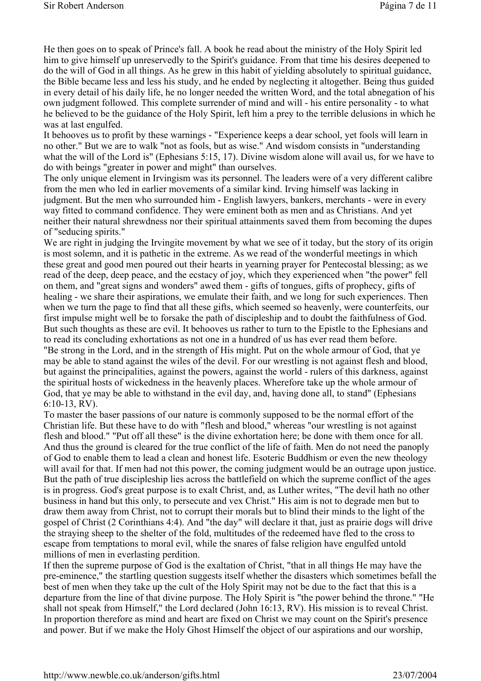He then goes on to speak of Prince's fall. A book he read about the ministry of the Holy Spirit led him to give himself up unreservedly to the Spirit's guidance. From that time his desires deepened to do the will of God in all things. As he grew in this habit of yielding absolutely to spiritual guidance, the Bible became less and less his study, and he ended by neglecting it altogether. Being thus guided in every detail of his daily life, he no longer needed the written Word, and the total abnegation of his own judgment followed. This complete surrender of mind and will - his entire personality - to what he believed to be the guidance of the Holy Spirit, left him a prey to the terrible delusions in which he was at last engulfed.

It behooves us to profit by these warnings - "Experience keeps a dear school, yet fools will learn in no other." But we are to walk "not as fools, but as wise." And wisdom consists in "understanding what the will of the Lord is" (Ephesians 5:15, 17). Divine wisdom alone will avail us, for we have to do with beings "greater in power and might" than ourselves.

The only unique element in Irvingism was its personnel. The leaders were of a very different calibre from the men who led in earlier movements of a similar kind. Irving himself was lacking in judgment. But the men who surrounded him - English lawyers, bankers, merchants - were in every way fitted to command confidence. They were eminent both as men and as Christians. And yet neither their natural shrewdness nor their spiritual attainments saved them from becoming the dupes of "seducing spirits."

We are right in judging the Irvingite movement by what we see of it today, but the story of its origin is most solemn, and it is pathetic in the extreme. As we read of the wonderful meetings in which these great and good men poured out their hearts in yearning prayer for Pentecostal blessing; as we read of the deep, deep peace, and the ecstacy of joy, which they experienced when "the power" fell on them, and "great signs and wonders" awed them - gifts of tongues, gifts of prophecy, gifts of healing - we share their aspirations, we emulate their faith, and we long for such experiences. Then when we turn the page to find that all these gifts, which seemed so heavenly, were counterfeits, our first impulse might well be to forsake the path of discipleship and to doubt the faithfulness of God. But such thoughts as these are evil. It behooves us rather to turn to the Epistle to the Ephesians and to read its concluding exhortations as not one in a hundred of us has ever read them before.

"Be strong in the Lord, and in the strength of His might. Put on the whole armour of God, that ye may be able to stand against the wiles of the devil. For our wrestling is not against flesh and blood, but against the principalities, against the powers, against the world - rulers of this darkness, against the spiritual hosts of wickedness in the heavenly places. Wherefore take up the whole armour of God, that ye may be able to withstand in the evil day, and, having done all, to stand" (Ephesians 6:10-13, RV).

To master the baser passions of our nature is commonly supposed to be the normal effort of the Christian life. But these have to do with "flesh and blood," whereas "our wrestling is not against flesh and blood." "Put off all these" is the divine exhortation here; be done with them once for all. And thus the ground is cleared for the true conflict of the life of faith. Men do not need the panoply of God to enable them to lead a clean and honest life. Esoteric Buddhism or even the new theology will avail for that. If men had not this power, the coming judgment would be an outrage upon justice. But the path of true discipleship lies across the battlefield on which the supreme conflict of the ages is in progress. God's great purpose is to exalt Christ, and, as Luther writes, "The devil hath no other business in hand but this only, to persecute and vex Christ." His aim is not to degrade men but to draw them away from Christ, not to corrupt their morals but to blind their minds to the light of the gospel of Christ (2 Corinthians 4:4). And "the day" will declare it that, just as prairie dogs will drive the straying sheep to the shelter of the fold, multitudes of the redeemed have fled to the cross to escape from temptations to moral evil, while the snares of false religion have engulfed untold millions of men in everlasting perdition.

If then the supreme purpose of God is the exaltation of Christ, "that in all things He may have the pre-eminence," the startling question suggests itself whether the disasters which sometimes befall the best of men when they take up the cult of the Holy Spirit may not be due to the fact that this is a departure from the line of that divine purpose. The Holy Spirit is "the power behind the throne." "He shall not speak from Himself," the Lord declared (John 16:13, RV). His mission is to reveal Christ. In proportion therefore as mind and heart are fixed on Christ we may count on the Spirit's presence and power. But if we make the Holy Ghost Himself the object of our aspirations and our worship,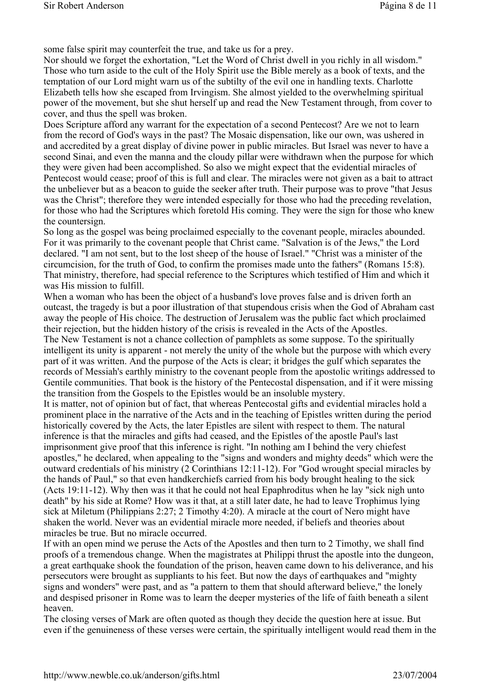some false spirit may counterfeit the true, and take us for a prey.

Nor should we forget the exhortation, "Let the Word of Christ dwell in you richly in all wisdom." Those who turn aside to the cult of the Holy Spirit use the Bible merely as a book of texts, and the temptation of our Lord might warn us of the subtilty of the evil one in handling texts. Charlotte Elizabeth tells how she escaped from Irvingism. She almost yielded to the overwhelming spiritual power of the movement, but she shut herself up and read the New Testament through, from cover to cover, and thus the spell was broken.

Does Scripture afford any warrant for the expectation of a second Pentecost? Are we not to learn from the record of God's ways in the past? The Mosaic dispensation, like our own, was ushered in and accredited by a great display of divine power in public miracles. But Israel was never to have a second Sinai, and even the manna and the cloudy pillar were withdrawn when the purpose for which they were given had been accomplished. So also we might expect that the evidential miracles of Pentecost would cease; proof of this is full and clear. The miracles were not given as a bait to attract the unbeliever but as a beacon to guide the seeker after truth. Their purpose was to prove "that Jesus was the Christ"; therefore they were intended especially for those who had the preceding revelation, for those who had the Scriptures which foretold His coming. They were the sign for those who knew the countersign.

So long as the gospel was being proclaimed especially to the covenant people, miracles abounded. For it was primarily to the covenant people that Christ came. "Salvation is of the Jews," the Lord declared. "I am not sent, but to the lost sheep of the house of Israel." "Christ was a minister of the circumcision, for the truth of God, to confirm the promises made unto the fathers" (Romans 15:8). That ministry, therefore, had special reference to the Scriptures which testified of Him and which it was His mission to fulfill.

When a woman who has been the object of a husband's love proves false and is driven forth an outcast, the tragedy is but a poor illustration of that stupendous crisis when the God of Abraham cast away the people of His choice. The destruction of Jerusalem was the public fact which proclaimed their rejection, but the hidden history of the crisis is revealed in the Acts of the Apostles. The New Testament is not a chance collection of pamphlets as some suppose. To the spiritually

intelligent its unity is apparent - not merely the unity of the whole but the purpose with which every part of it was written. And the purpose of the Acts is clear; it bridges the gulf which separates the records of Messiah's earthly ministry to the covenant people from the apostolic writings addressed to Gentile communities. That book is the history of the Pentecostal dispensation, and if it were missing the transition from the Gospels to the Epistles would be an insoluble mystery.

It is matter, not of opinion but of fact, that whereas Pentecostal gifts and evidential miracles hold a prominent place in the narrative of the Acts and in the teaching of Epistles written during the period historically covered by the Acts, the later Epistles are silent with respect to them. The natural inference is that the miracles and gifts had ceased, and the Epistles of the apostle Paul's last imprisonment give proof that this inference is right. "In nothing am I behind the very chiefest apostles," he declared, when appealing to the "signs and wonders and mighty deeds" which were the outward credentials of his ministry (2 Corinthians 12:11-12). For "God wrought special miracles by the hands of Paul," so that even handkerchiefs carried from his body brought healing to the sick (Acts 19:11-12). Why then was it that he could not heal Epaphroditus when he lay "sick nigh unto death" by his side at Rome? How was it that, at a still later date, he had to leave Trophimus lying sick at Miletum (Philippians 2:27; 2 Timothy 4:20). A miracle at the court of Nero might have shaken the world. Never was an evidential miracle more needed, if beliefs and theories about miracles be true. But no miracle occurred.

If with an open mind we peruse the Acts of the Apostles and then turn to 2 Timothy, we shall find proofs of a tremendous change. When the magistrates at Philippi thrust the apostle into the dungeon, a great earthquake shook the foundation of the prison, heaven came down to his deliverance, and his persecutors were brought as suppliants to his feet. But now the days of earthquakes and "mighty signs and wonders" were past, and as "a pattern to them that should afterward believe," the lonely and despised prisoner in Rome was to learn the deeper mysteries of the life of faith beneath a silent heaven.

The closing verses of Mark are often quoted as though they decide the question here at issue. But even if the genuineness of these verses were certain, the spiritually intelligent would read them in the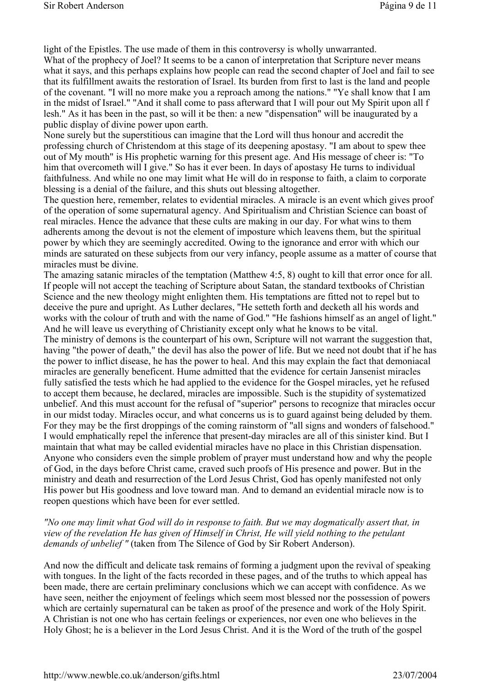light of the Epistles. The use made of them in this controversy is wholly unwarranted. What of the prophecy of Joel? It seems to be a canon of interpretation that Scripture never means what it says, and this perhaps explains how people can read the second chapter of Joel and fail to see that its fulfillment awaits the restoration of Israel. Its burden from first to last is the land and people of the covenant. "I will no more make you a reproach among the nations." "Ye shall know that I am in the midst of Israel." "And it shall come to pass afterward that I will pour out My Spirit upon all f lesh." As it has been in the past, so will it be then: a new "dispensation" will be inaugurated by a public display of divine power upon earth.

None surely but the superstitious can imagine that the Lord will thus honour and accredit the professing church of Christendom at this stage of its deepening apostasy. "I am about to spew thee out of My mouth" is His prophetic warning for this present age. And His message of cheer is: "To him that overcometh will I give." So has it ever been. In days of apostasy He turns to individual faithfulness. And while no one may limit what He will do in response to faith, a claim to corporate blessing is a denial of the failure, and this shuts out blessing altogether.

The question here, remember, relates to evidential miracles. A miracle is an event which gives proof of the operation of some supernatural agency. And Spiritualism and Christian Science can boast of real miracles. Hence the advance that these cults are making in our day. For what wins to them adherents among the devout is not the element of imposture which leavens them, but the spiritual power by which they are seemingly accredited. Owing to the ignorance and error with which our minds are saturated on these subjects from our very infancy, people assume as a matter of course that miracles must be divine.

The amazing satanic miracles of the temptation (Matthew 4:5, 8) ought to kill that error once for all. If people will not accept the teaching of Scripture about Satan, the standard textbooks of Christian Science and the new theology might enlighten them. His temptations are fitted not to repel but to deceive the pure and upright. As Luther declares, "He setteth forth and decketh all his words and works with the colour of truth and with the name of God." "He fashions himself as an angel of light." And he will leave us everything of Christianity except only what he knows to be vital.

The ministry of demons is the counterpart of his own, Scripture will not warrant the suggestion that, having "the power of death," the devil has also the power of life. But we need not doubt that if he has the power to inflict disease, he has the power to heal. And this may explain the fact that demoniacal miracles are generally beneficent. Hume admitted that the evidence for certain Jansenist miracles fully satisfied the tests which he had applied to the evidence for the Gospel miracles, yet he refused to accept them because, he declared, miracles are impossible. Such is the stupidity of systematized unbelief. And this must account for the refusal of "superior" persons to recognize that miracles occur in our midst today. Miracles occur, and what concerns us is to guard against being deluded by them. For they may be the first droppings of the coming rainstorm of "all signs and wonders of falsehood." I would emphatically repel the inference that present-day miracles are all of this sinister kind. But I maintain that what may be called evidential miracles have no place in this Christian dispensation. Anyone who considers even the simple problem of prayer must understand how and why the people of God, in the days before Christ came, craved such proofs of His presence and power. But in the ministry and death and resurrection of the Lord Jesus Christ, God has openly manifested not only His power but His goodness and love toward man. And to demand an evidential miracle now is to reopen questions which have been for ever settled.

#### *"No one may limit what God will do in response to faith. But we may dogmatically assert that, in view of the revelation He has given of Himself in Christ, He will yield nothing to the petulant demands of unbelief "* (taken from The Silence of God by Sir Robert Anderson).

And now the difficult and delicate task remains of forming a judgment upon the revival of speaking with tongues. In the light of the facts recorded in these pages, and of the truths to which appeal has been made, there are certain preliminary conclusions which we can accept with confidence. As we have seen, neither the enjoyment of feelings which seem most blessed nor the possession of powers which are certainly supernatural can be taken as proof of the presence and work of the Holy Spirit. A Christian is not one who has certain feelings or experiences, nor even one who believes in the Holy Ghost; he is a believer in the Lord Jesus Christ. And it is the Word of the truth of the gospel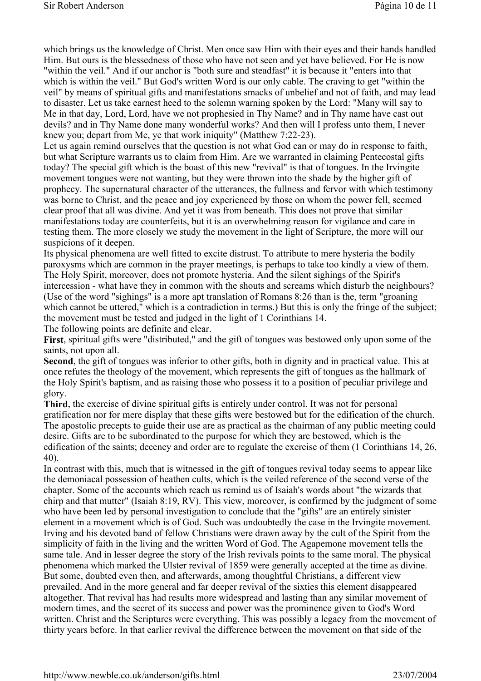which brings us the knowledge of Christ. Men once saw Him with their eyes and their hands handled Him. But ours is the blessedness of those who have not seen and yet have believed. For He is now "within the veil." And if our anchor is "both sure and steadfast" it is because it "enters into that which is within the veil." But God's written Word is our only cable. The craving to get "within the veil" by means of spiritual gifts and manifestations smacks of unbelief and not of faith, and may lead to disaster. Let us take earnest heed to the solemn warning spoken by the Lord: "Many will say to Me in that day, Lord, Lord, have we not prophesied in Thy Name? and in Thy name have cast out devils? and in Thy Name done many wonderful works? And then will I profess unto them, I never knew you; depart from Me, ye that work iniquity" (Matthew 7:22-23).

Let us again remind ourselves that the question is not what God can or may do in response to faith, but what Scripture warrants us to claim from Him. Are we warranted in claiming Pentecostal gifts today? The special gift which is the boast of this new "revival" is that of tongues. In the Irvingite movement tongues were not wanting, but they were thrown into the shade by the higher gift of prophecy. The supernatural character of the utterances, the fullness and fervor with which testimony was borne to Christ, and the peace and joy experienced by those on whom the power fell, seemed clear proof that all was divine. And yet it was from beneath. This does not prove that similar manifestations today are counterfeits, but it is an overwhelming reason for vigilance and care in testing them. The more closely we study the movement in the light of Scripture, the more will our suspicions of it deepen.

Its physical phenomena are well fitted to excite distrust. To attribute to mere hysteria the bodily paroxysms which are common in the prayer meetings, is perhaps to take too kindly a view of them. The Holy Spirit, moreover, does not promote hysteria. And the silent sighings of the Spirit's intercession - what have they in common with the shouts and screams which disturb the neighbours? (Use of the word "sighings" is a more apt translation of Romans 8:26 than is the, term "groaning which cannot be uttered," which is a contradiction in terms.) But this is only the fringe of the subject; the movement must be tested and judged in the light of 1 Corinthians 14.

The following points are definite and clear.

**First**, spiritual gifts were "distributed," and the gift of tongues was bestowed only upon some of the saints, not upon all.

**Second**, the gift of tongues was inferior to other gifts, both in dignity and in practical value. This at once refutes the theology of the movement, which represents the gift of tongues as the hallmark of the Holy Spirit's baptism, and as raising those who possess it to a position of peculiar privilege and glory.

**Third**, the exercise of divine spiritual gifts is entirely under control. It was not for personal gratification nor for mere display that these gifts were bestowed but for the edification of the church. The apostolic precepts to guide their use are as practical as the chairman of any public meeting could desire. Gifts are to be subordinated to the purpose for which they are bestowed, which is the edification of the saints; decency and order are to regulate the exercise of them (1 Corinthians 14, 26, 40).

In contrast with this, much that is witnessed in the gift of tongues revival today seems to appear like the demoniacal possession of heathen cults, which is the veiled reference of the second verse of the chapter. Some of the accounts which reach us remind us of Isaiah's words about "the wizards that chirp and that mutter" (Isaiah 8:19, RV). This view, moreover, is confirmed by the judgment of some who have been led by personal investigation to conclude that the "gifts" are an entirely sinister element in a movement which is of God. Such was undoubtedly the case in the Irvingite movement. Irving and his devoted band of fellow Christians were drawn away by the cult of the Spirit from the simplicity of faith in the living and the written Word of God. The Agapemone movement tells the same tale. And in lesser degree the story of the Irish revivals points to the same moral. The physical phenomena which marked the Ulster revival of 1859 were generally accepted at the time as divine. But some, doubted even then, and afterwards, among thoughtful Christians, a different view prevailed. And in the more general and far deeper revival of the sixties this element disappeared altogether. That revival has had results more widespread and lasting than any similar movement of modern times, and the secret of its success and power was the prominence given to God's Word written. Christ and the Scriptures were everything. This was possibly a legacy from the movement of thirty years before. In that earlier revival the difference between the movement on that side of the